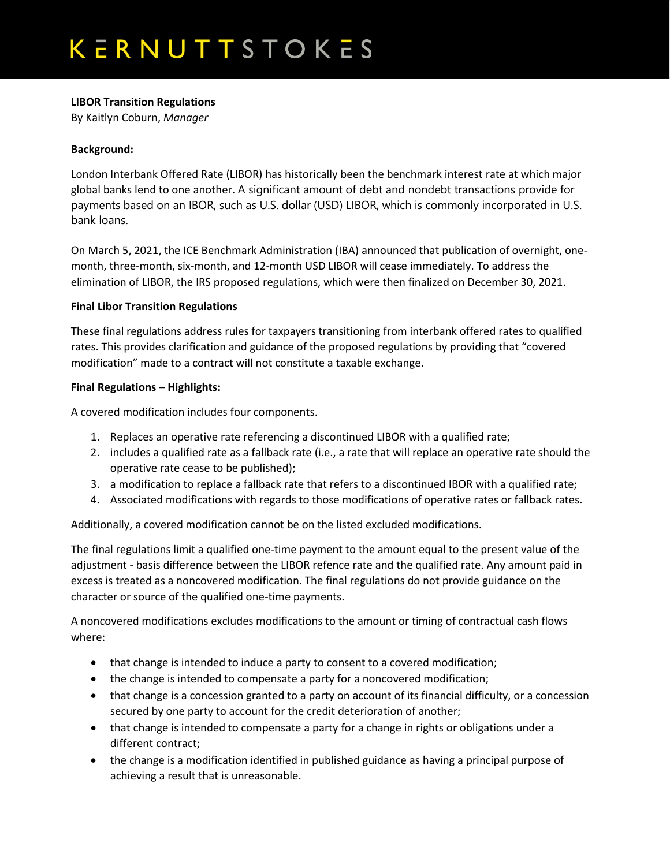## **LIBOR Transition Regulations**

By Kaitlyn Coburn, *Manager*

### **Background:**

London Interbank Offered Rate (LIBOR) has historically been the benchmark interest rate at which major global banks lend to one another. A significant amount of debt and nondebt transactions provide for payments based on an IBOR, such as U.S. dollar (USD) LIBOR, which is commonly incorporated in U.S. bank loans.

On March 5, 2021, the ICE Benchmark Administration (IBA) announced that publication of overnight, onemonth, three-month, six-month, and 12-month USD LIBOR will cease immediately. To address the elimination of LIBOR, the IRS proposed regulations, which were then finalized on December 30, 2021.

#### **Final Libor Transition Regulations**

These final regulations address rules for taxpayers transitioning from interbank offered rates to qualified rates. This provides clarification and guidance of the proposed regulations by providing that "covered modification" made to a contract will not constitute a taxable exchange.

#### **Final Regulations – Highlights:**

A covered modification includes four components.

- 1. Replaces an operative rate referencing a discontinued LIBOR with a qualified rate;
- 2. includes a qualified rate as a fallback rate (i.e., a rate that will replace an operative rate should the operative rate cease to be published);
- 3. a modification to replace a fallback rate that refers to a discontinued IBOR with a qualified rate;
- 4. Associated modifications with regards to those modifications of operative rates or fallback rates.

Additionally, a covered modification cannot be on the listed excluded modifications.

The final regulations limit a qualified one-time payment to the amount equal to the present value of the adjustment - basis difference between the LIBOR refence rate and the qualified rate. Any amount paid in excess is treated as a noncovered modification. The final regulations do not provide guidance on the character or source of the qualified one-time payments.

A noncovered modifications excludes modifications to the amount or timing of contractual cash flows where:

- that change is intended to induce a party to consent to a covered modification;
- the change is intended to compensate a party for a noncovered modification;
- that change is a concession granted to a party on account of its financial difficulty, or a concession secured by one party to account for the credit deterioration of another;
- that change is intended to compensate a party for a change in rights or obligations under a different contract;
- the change is a modification identified in published guidance as having a principal purpose of achieving a result that is unreasonable.